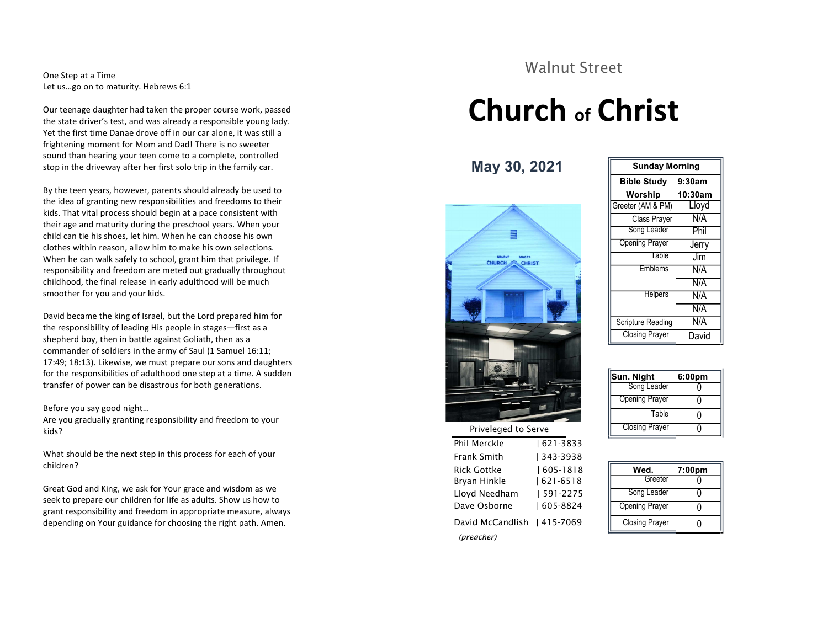One Step at a Time Let us…go on to maturity. Hebrews 6:1

Our teenage daughter had taken the proper course work, passed the state driver's test, and was already a responsible young lady. Yet the first time Danae drove off in our car alone, it was still a frightening moment for Mom and Dad! There is no sweeter sound than hearing your teen come to a complete, controlled stop in the driveway after her first solo trip in the family car.

By the teen years, however, parents should already be used to the idea of granting new responsibilities and freedoms to their kids. That vital process should begin at a pace consistent with their age and maturity during the preschool years. When your child can tie his shoes, let him. When he can choose his own clothes within reason, allow him to make his own selections. When he can walk safely to school, grant him that privilege. If responsibility and freedom are meted out gradually throughout childhood, the final release in early adulthood will be much smoother for you and your kids.

David became the king of Israel, but the Lord prepared him for the responsibility of leading His people in stages—first as a shepherd boy, then in battle against Goliath, then as a commander of soldiers in the army of Saul (1 Samuel 16:11; 17:49; 18:13). Likewise, we must prepare our sons and daughters for the responsibilities of adulthood one step at a time. A sudden transfer of power can be disastrous for both generations.

#### Before you say good night…

Are you gradually granting responsibility and freedom to your kids?

What should be the next step in this process for each of your children?

Great God and King, we ask for Your grace and wisdom as we seek to prepare our children for life as adults. Show us how to grant responsibility and freedom in appropriate measure, always depending on Your guidance for choosing the right path. Amen.

#### Walnut Street

## Church of Christ

May 30, 2021



Phil Merckle | 621-3833 Frank Smith | 343-3938 Rick Gottke | 605-1818 Brvan Hinkle  $| 621 - 6518$ 

Lloyd Needham | 591-2275

Dave Osborne | 605-8824

David McCandlish | 415-7069

(preacher)

| <b>Sunday Morning</b> |                   |  |
|-----------------------|-------------------|--|
| <b>Bible Study</b>    | 9:30am            |  |
| Worship               | 10:30am           |  |
| Greeter (AM & PM)     | Lloyd             |  |
| Class Prayer          | N/A               |  |
| Song Leader           | Phil              |  |
| <b>Opening Prayer</b> | Jerry             |  |
| Table                 | $\overline{\lim}$ |  |
| Emblems               | N/A               |  |
|                       | N/A               |  |
| <b>Helpers</b>        | N/A               |  |
|                       | N/A               |  |
| Scripture Reading     | N/A               |  |
| <b>Closing Prayer</b> | David             |  |

| Sun. Night            | 6:00pm |  |
|-----------------------|--------|--|
| Song Leader           |        |  |
| <b>Opening Prayer</b> |        |  |
| Table                 | וו     |  |
| <b>Closing Prayer</b> |        |  |

| Wed.                  | 7:00 <sub>pm</sub> |
|-----------------------|--------------------|
| Greeter               |                    |
| Song Leader           |                    |
| <b>Opening Prayer</b> |                    |
| <b>Closing Prayer</b> |                    |